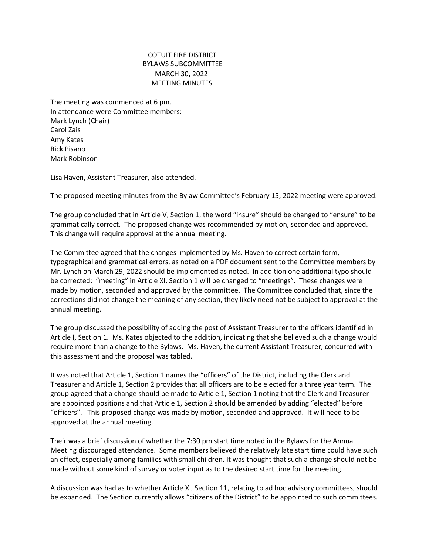## COTUIT FIRE DISTRICT BYLAWS SUBCOMMITTEE MARCH 30, 2022 MEETING MINUTES

The meeting was commenced at 6 pm. In attendance were Committee members: Mark Lynch (Chair) Carol Zais Amy Kates Rick Pisano Mark Robinson

Lisa Haven, Assistant Treasurer, also attended.

The proposed meeting minutes from the Bylaw Committee's February 15, 2022 meeting were approved.

The group concluded that in Article V, Section 1, the word "insure" should be changed to "ensure" to be grammatically correct. The proposed change was recommended by motion, seconded and approved. This change will require approval at the annual meeting.

The Committee agreed that the changes implemented by Ms. Haven to correct certain form, typographical and grammatical errors, as noted on a PDF document sent to the Committee members by Mr. Lynch on March 29, 2022 should be implemented as noted. In addition one additional typo should be corrected: "meeting" in Article XI, Section 1 will be changed to "meetings". These changes were made by motion, seconded and approved by the committee. The Committee concluded that, since the corrections did not change the meaning of any section, they likely need not be subject to approval at the annual meeting.

The group discussed the possibility of adding the post of Assistant Treasurer to the officers identified in Article I, Section 1. Ms. Kates objected to the addition, indicating that she believed such a change would require more than a change to the Bylaws. Ms. Haven, the current Assistant Treasurer, concurred with this assessment and the proposal was tabled.

It was noted that Article 1, Section 1 names the "officers" of the District, including the Clerk and Treasurer and Article 1, Section 2 provides that all officers are to be elected for a three year term. The group agreed that a change should be made to Article 1, Section 1 noting that the Clerk and Treasurer are appointed positions and that Article 1, Section 2 should be amended by adding "elected" before "officers". This proposed change was made by motion, seconded and approved. It will need to be approved at the annual meeting.

Their was a brief discussion of whether the 7:30 pm start time noted in the Bylaws for the Annual Meeting discouraged attendance. Some members believed the relatively late start time could have such an effect, especially among families with small children. It was thought that such a change should not be made without some kind of survey or voter input as to the desired start time for the meeting.

A discussion was had as to whether Article XI, Section 11, relating to ad hoc advisory committees, should be expanded. The Section currently allows "citizens of the District" to be appointed to such committees.